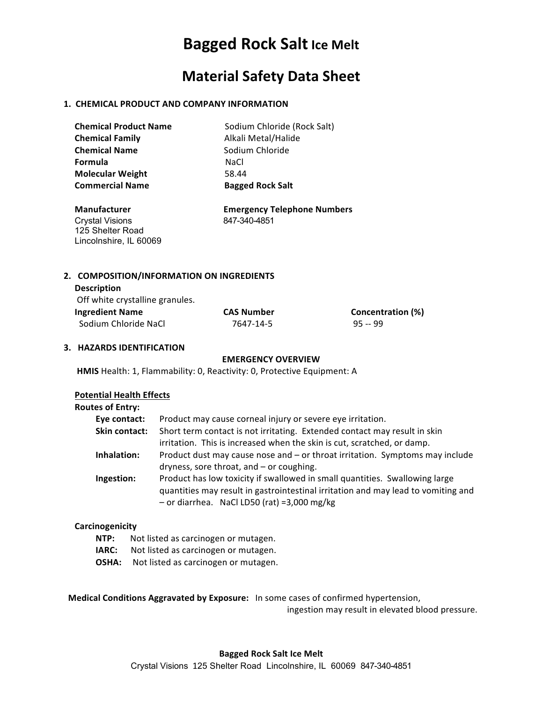# **Bagged Rock Salt Ice Melt**

### **Material Safety Data Sheet**

### **1. CHEMICAL PRODUCT AND COMPANY INFORMATION**

| <b>Chemical Product Name</b> | Sodium Chloride (Rock Salt) |
|------------------------------|-----------------------------|
| <b>Chemical Family</b>       | Alkali Metal/Halide         |
| <b>Chemical Name</b>         | Sodium Chloride             |
| Formula                      | NaCl.                       |
| <b>Molecular Weight</b>      | 58.44                       |
| <b>Commercial Name</b>       | <b>Bagged Rock Salt</b>     |

Crystal Visions 847-340-4851 125 Shelter Road Lincolnshire, IL 60069

 **Manufacturer Emergency Telephone Numbers**

### 2. COMPOSITION/INFORMATION ON INGREDIENTS

| <b>Description</b>              |                   |                   |
|---------------------------------|-------------------|-------------------|
| Off white crystalline granules. |                   |                   |
| <b>Ingredient Name</b>          | <b>CAS Number</b> | Concentration (%) |
| Sodium Chloride NaCl            | 7647-14-5         | $95 - 99$         |

### **3. HAZARDS IDENTIFICATION**

### **EMERGENCY OVERVIEW**

**HMIS** Health: 1, Flammability: 0, Reactivity: 0, Protective Equipment: A

### **Potential Health Effects**

| <b>Routes of Entry:</b> |                                                                                                                                                                                                                   |
|-------------------------|-------------------------------------------------------------------------------------------------------------------------------------------------------------------------------------------------------------------|
| Eye contact:            | Product may cause corneal injury or severe eye irritation.                                                                                                                                                        |
| Skin contact:           | Short term contact is not irritating. Extended contact may result in skin                                                                                                                                         |
|                         | irritation. This is increased when the skin is cut, scratched, or damp.                                                                                                                                           |
| Inhalation:             | Product dust may cause nose and – or throat irritation. Symptoms may include<br>dryness, sore throat, and - or coughing.                                                                                          |
| Ingestion:              | Product has low toxicity if swallowed in small quantities. Swallowing large<br>quantities may result in gastrointestinal irritation and may lead to vomiting and<br>$-$ or diarrhea. NaCl LD50 (rat) =3,000 mg/kg |

#### **Carcinogenicity**

- **NTP:** Not listed as carcinogen or mutagen.
- **IARC:** Not listed as carcinogen or mutagen.
- **OSHA:** Not listed as carcinogen or mutagen.

**Medical Conditions Aggravated by Exposure:** In some cases of confirmed hypertension,

ingestion may result in elevated blood pressure.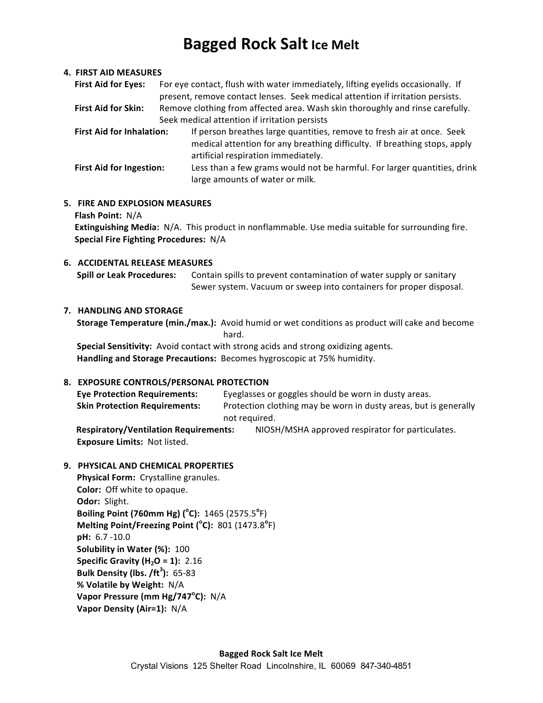# **Bagged Rock Salt Ice Melt**

### **4. FIRST AID MEASURES**

| <b>First Aid for Eyes:</b>                    | For eye contact, flush with water immediately, lifting eyelids occasionally. If<br>present, remove contact lenses. Seek medical attention if irritation persists.                          |  |
|-----------------------------------------------|--------------------------------------------------------------------------------------------------------------------------------------------------------------------------------------------|--|
| <b>First Aid for Skin:</b>                    | Remove clothing from affected area. Wash skin thoroughly and rinse carefully.                                                                                                              |  |
| Seek medical attention if irritation persists |                                                                                                                                                                                            |  |
| <b>First Aid for Inhalation:</b>              | If person breathes large quantities, remove to fresh air at once. Seek<br>medical attention for any breathing difficulty. If breathing stops, apply<br>artificial respiration immediately. |  |
| <b>First Aid for Ingestion:</b>               | Less than a few grams would not be harmful. For larger quantities, drink<br>large amounts of water or milk.                                                                                |  |

### **5. FIRE AND EXPLOSION MEASURES Flash Point:** N/A **Extinguishing Media:** N/A. This product in nonflammable. Use media suitable for surrounding fire. **Special Fire Fighting Procedures: N/A**

# **6. ACCIDENTAL RELEASE MEASURES**

**Spill or Leak Procedures:** Contain spills to prevent contamination of water supply or sanitary Sewer system. Vacuum or sweep into containers for proper disposal.

### **7. HANDLING AND STORAGE**

**Storage Temperature (min./max.):** Avoid humid or wet conditions as product will cake and become hard. The contract of the contract of the contract of the contract of the contract of the contract of the contract of the contract of the contract of the contract of the contract of the contract of the contract of the cont

**Special Sensitivity:** Avoid contact with strong acids and strong oxidizing agents. Handling and Storage Precautions: Becomes hygroscopic at 75% humidity.

### **8. EXPOSURE CONTROLS/PERSONAL PROTECTION**

| <b>Eye Protection Requirements:</b>          | Eyeglasses or goggles should be worn in dusty areas.             |  |
|----------------------------------------------|------------------------------------------------------------------|--|
| <b>Skin Protection Requirements:</b>         | Protection clothing may be worn in dusty areas, but is generally |  |
| not required.                                |                                                                  |  |
| <b>Respiratory/Ventilation Requirements:</b> | NIOSH/MSHA approved respirator for particulates.                 |  |

**Exposure Limits: Not listed.** 

**9. PHYSICAL AND CHEMICAL PROPERTIES** 

**Physical Form:** Crystalline granules. **Color:** Off white to opaque. **Odor: Slight. Boiling Point (760mm Hg) (°C):** 1465 (2575.5°F) **Melting Point/Freezing Point (°C):** 801 (1473.8°F) **pH:** 6.7 -10.0 **Solubility in Water (%): 100 Specific Gravity (H<sub>2</sub>O = 1): 2.16 Bulk Density (lbs. /ft<sup>3</sup> ):** 65-83 **% Volatile by Weight:** N/A **Vapor Pressure (mm Hg/747<sup>°</sup>C):** N/A **Vapor Density (Air=1):** N/A